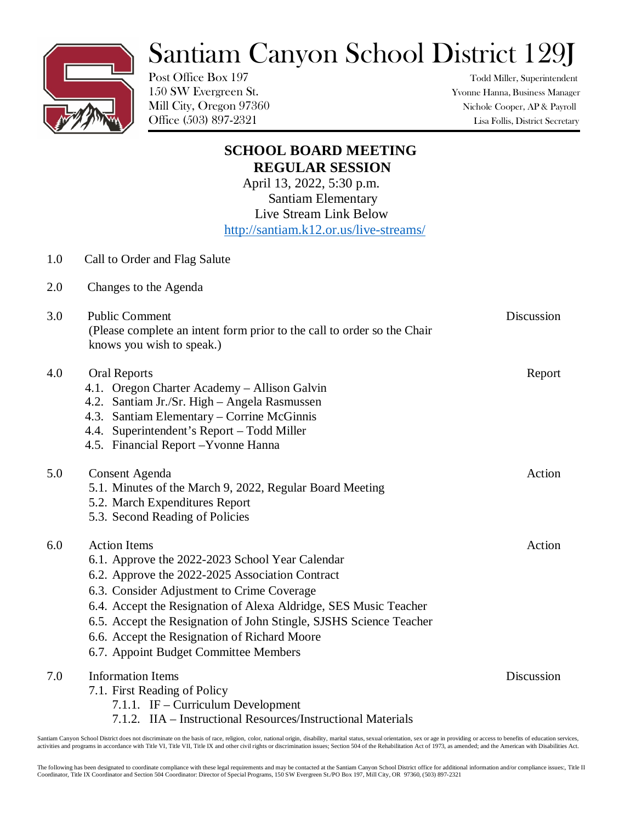## Santiam Canyon School District 129J

Post Office Box 197 Todd Miller, Superintendent

150 SW Evergreen St. Yvonne Hanna, Business Manager Mill City, Oregon 97360 Nichole Cooper, AP & Payroll Office (503) 897-2321 Lisa Follis, District Secretary

|     | <b>SCHOOL BOARD MEETING</b>                                                                                                                                                                                                                                                                                                                                                                                |            |
|-----|------------------------------------------------------------------------------------------------------------------------------------------------------------------------------------------------------------------------------------------------------------------------------------------------------------------------------------------------------------------------------------------------------------|------------|
|     | <b>REGULAR SESSION</b>                                                                                                                                                                                                                                                                                                                                                                                     |            |
|     | April 13, 2022, 5:30 p.m.                                                                                                                                                                                                                                                                                                                                                                                  |            |
|     | <b>Santiam Elementary</b><br>Live Stream Link Below                                                                                                                                                                                                                                                                                                                                                        |            |
|     | http://santiam.k12.or.us/live-streams/                                                                                                                                                                                                                                                                                                                                                                     |            |
|     |                                                                                                                                                                                                                                                                                                                                                                                                            |            |
| 1.0 | Call to Order and Flag Salute                                                                                                                                                                                                                                                                                                                                                                              |            |
| 2.0 | Changes to the Agenda                                                                                                                                                                                                                                                                                                                                                                                      |            |
| 3.0 | <b>Public Comment</b><br>(Please complete an intent form prior to the call to order so the Chair<br>knows you wish to speak.)                                                                                                                                                                                                                                                                              | Discussion |
| 4.0 | <b>Oral Reports</b><br>4.1. Oregon Charter Academy - Allison Galvin<br>4.2. Santiam Jr./Sr. High - Angela Rasmussen<br>4.3. Santiam Elementary – Corrine McGinnis<br>4.4. Superintendent's Report - Todd Miller<br>4.5. Financial Report - Yvonne Hanna                                                                                                                                                    | Report     |
| 5.0 | Consent Agenda<br>5.1. Minutes of the March 9, 2022, Regular Board Meeting<br>5.2. March Expenditures Report<br>5.3. Second Reading of Policies                                                                                                                                                                                                                                                            | Action     |
| 6.0 | <b>Action Items</b><br>6.1. Approve the 2022-2023 School Year Calendar<br>6.2. Approve the 2022-2025 Association Contract<br>6.3. Consider Adjustment to Crime Coverage<br>6.4. Accept the Resignation of Alexa Aldridge, SES Music Teacher<br>6.5. Accept the Resignation of John Stingle, SJSHS Science Teacher<br>6.6. Accept the Resignation of Richard Moore<br>6.7. Appoint Budget Committee Members | Action     |
| 7.0 | <b>Information Items</b><br>7.1. First Reading of Policy<br>7.1.1. IF – Curriculum Development<br>7.1.2. IIA - Instructional Resources/Instructional Materials                                                                                                                                                                                                                                             | Discussion |

Santiam Canyon School District does not discriminate on the basis of race, religion, color, national origin, disability, marital status, sexual orientation, sex or age in providing or access to benefits of education servic